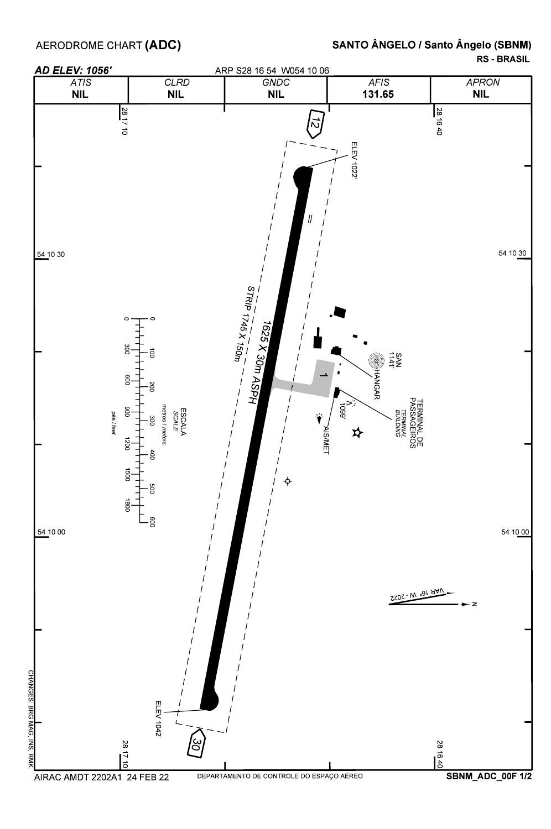AERODROME CHART **(ADC)** 

## SANTO ÂNGELO / Santo Ângelo (SBNM)

RS - BRASIL